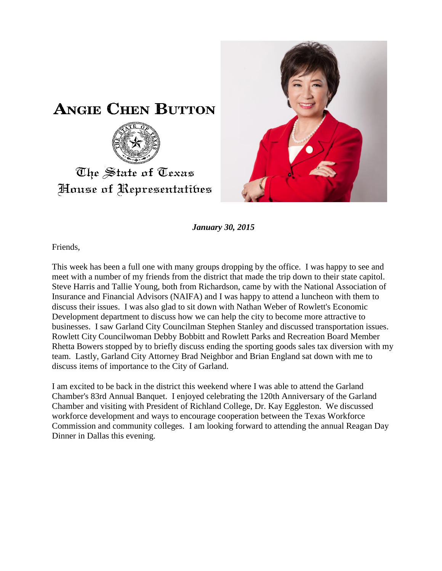



*January 30, 2015*

Friends,

This week has been a full one with many groups dropping by the office. I was happy to see and meet with a number of my friends from the district that made the trip down to their state capitol. Steve Harris and Tallie Young, both from Richardson, came by with the National Association of Insurance and Financial Advisors (NAIFA) and I was happy to attend a luncheon with them to discuss their issues. I was also glad to sit down with Nathan Weber of Rowlett's Economic Development department to discuss how we can help the city to become more attractive to businesses. I saw Garland City Councilman Stephen Stanley and discussed transportation issues. Rowlett City Councilwoman Debby Bobbitt and Rowlett Parks and Recreation Board Member Rhetta Bowers stopped by to briefly discuss ending the sporting goods sales tax diversion with my team. Lastly, Garland City Attorney Brad Neighbor and Brian England sat down with me to discuss items of importance to the City of Garland.

I am excited to be back in the district this weekend where I was able to attend the Garland Chamber's 83rd Annual Banquet. I enjoyed celebrating the 120th Anniversary of the Garland Chamber and visiting with President of Richland College, Dr. Kay Eggleston. We discussed workforce development and ways to encourage cooperation between the Texas Workforce Commission and community colleges. I am looking forward to attending the annual Reagan Day Dinner in Dallas this evening.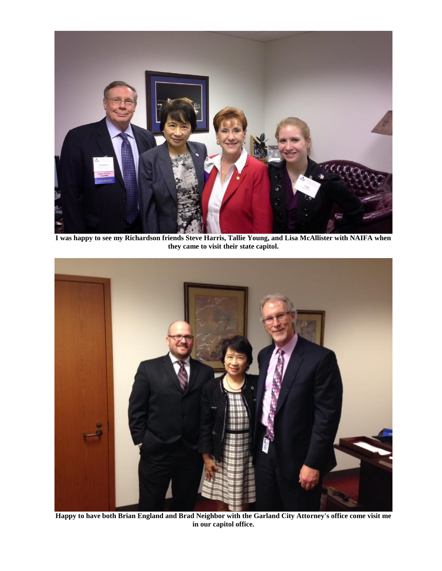

**I was happy to see my Richardson friends Steve Harris, Tallie Young, and Lisa McAllister with NAIFA when they came to visit their state capitol.**



**Happy to have both Brian England and Brad Neighbor with the Garland City Attorney's office come visit me in our capitol office.**